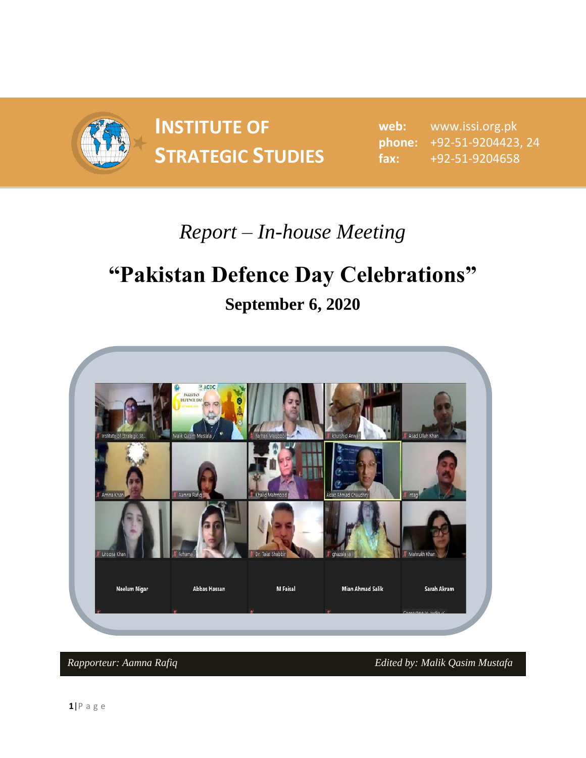

**INSTITUTE OF STRATEGIC STUDIES**  $\begin{bmatrix} \text{prime} \\ \text{fix:} \end{bmatrix}$ 

**web:** www.issi.org.pk **phone:** +92-51-9204423, 24 **fax:** +92-51-9204658

## *Report – In-house Meeting*

# **"Pakistan Defence Day Celebrations"**

**September 6, 2020**



*Rapporteur: Aamna Rafiq Edited by: Malik Qasim Mustafa*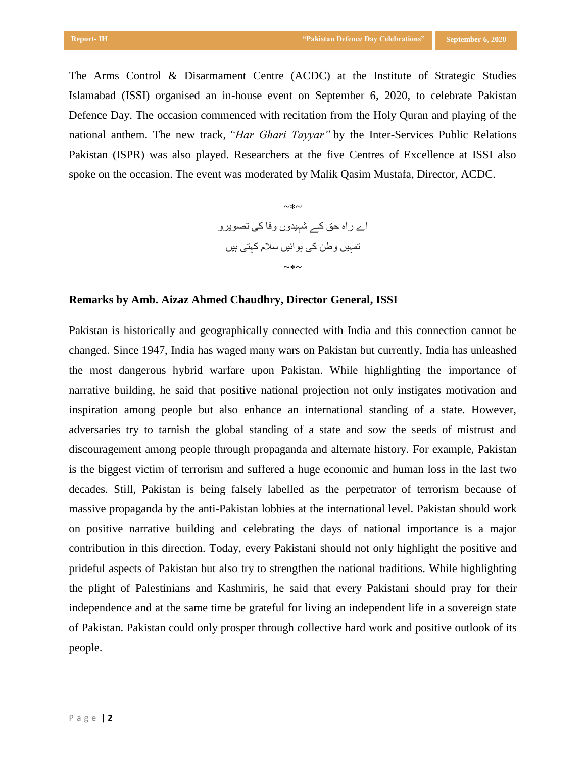The Arms Control & Disarmament Centre (ACDC) at the Institute of Strategic Studies Islamabad (ISSI) organised an in-house event on September 6, 2020, to celebrate Pakistan Defence Day. The occasion commenced with recitation from the Holy Quran and playing of the national anthem. The new track, *"Har Ghari Tayyar"* by the Inter-Services Public Relations Pakistan (ISPR) was also played. Researchers at the five Centres of Excellence at ISSI also spoke on the occasion. The event was moderated by Malik Qasim Mustafa, Director, ACDC.

$$
\sim *\sim
$$
ٮے  
اے راہ حق کے شہیدوں وفا کی تصویرو  
تمہیں وطن کی ہوائیں سلام کہتی ہیں  
م≈ہ

### **Remarks by Amb. Aizaz Ahmed Chaudhry, Director General, ISSI**

Pakistan is historically and geographically connected with India and this connection cannot be changed. Since 1947, India has waged many wars on Pakistan but currently, India has unleashed the most dangerous hybrid warfare upon Pakistan. While highlighting the importance of narrative building, he said that positive national projection not only instigates motivation and inspiration among people but also enhance an international standing of a state. However, adversaries try to tarnish the global standing of a state and sow the seeds of mistrust and discouragement among people through propaganda and alternate history. For example, Pakistan is the biggest victim of terrorism and suffered a huge economic and human loss in the last two decades. Still, Pakistan is being falsely labelled as the perpetrator of terrorism because of massive propaganda by the anti-Pakistan lobbies at the international level. Pakistan should work on positive narrative building and celebrating the days of national importance is a major contribution in this direction. Today, every Pakistani should not only highlight the positive and prideful aspects of Pakistan but also try to strengthen the national traditions. While highlighting the plight of Palestinians and Kashmiris, he said that every Pakistani should pray for their independence and at the same time be grateful for living an independent life in a sovereign state of Pakistan. Pakistan could only prosper through collective hard work and positive outlook of its people.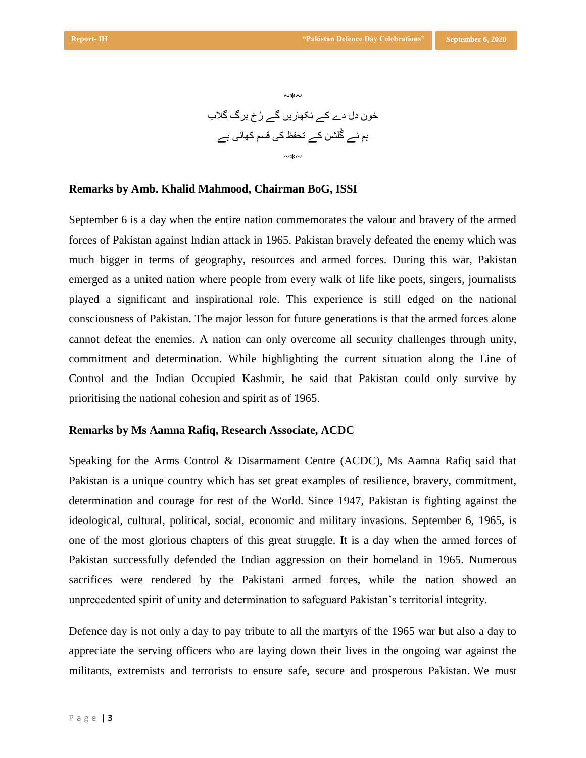

## **Remarks by Amb. Khalid Mahmood, Chairman BoG, ISSI**

September 6 is a day when the entire nation commemorates the valour and bravery of the armed forces of Pakistan against Indian attack in 1965. Pakistan bravely defeated the enemy which was much bigger in terms of geography, resources and armed forces. During this war, Pakistan emerged as a united nation where people from every walk of life like poets, singers, journalists played a significant and inspirational role. This experience is still edged on the national consciousness of Pakistan. The major lesson for future generations is that the armed forces alone cannot defeat the enemies. A nation can only overcome all security challenges through unity, commitment and determination. While highlighting the current situation along the Line of Control and the Indian Occupied Kashmir, he said that Pakistan could only survive by prioritising the national cohesion and spirit as of 1965.

#### **Remarks by Ms Aamna Rafiq, Research Associate, ACDC**

Speaking for the Arms Control & Disarmament Centre (ACDC), Ms Aamna Rafiq said that Pakistan is a unique country which has set great examples of resilience, bravery, commitment, determination and courage for rest of the World. Since 1947, Pakistan is fighting against the ideological, cultural, political, social, economic and military invasions. September 6, 1965, is one of the most glorious chapters of this great struggle. It is a day when the armed forces of Pakistan successfully defended the Indian aggression on their homeland in 1965. Numerous sacrifices were rendered by the Pakistani armed forces, while the nation showed an unprecedented spirit of unity and determination to safeguard Pakistan's territorial integrity.

Defence day is not only a day to pay tribute to all the martyrs of the 1965 war but also a day to appreciate the serving officers who are laying down their lives in the ongoing war against the militants, extremists and terrorists to ensure safe, secure and prosperous Pakistan. We must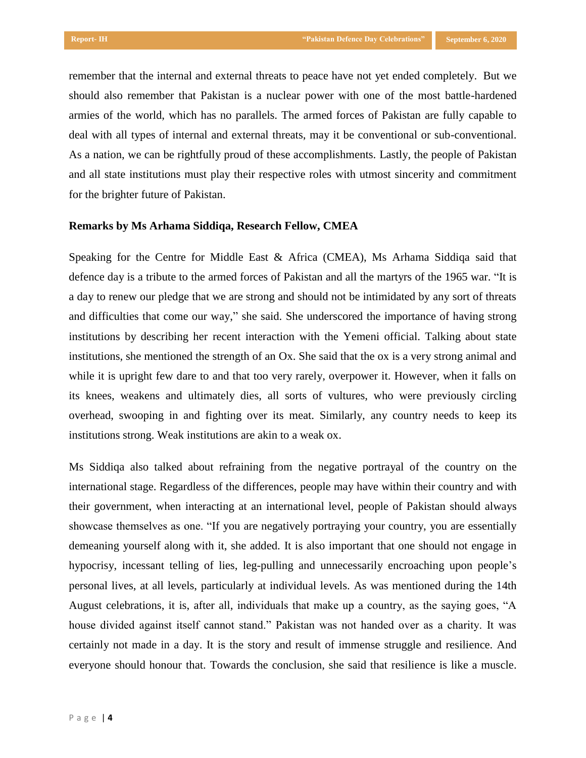remember that the internal and external threats to peace have not yet ended completely. But we should also remember that Pakistan is a nuclear power with one of the most battle-hardened armies of the world, which has no parallels. The armed forces of Pakistan are fully capable to deal with all types of internal and external threats, may it be conventional or sub-conventional. As a nation, we can be rightfully proud of these accomplishments. Lastly, the people of Pakistan and all state institutions must play their respective roles with utmost sincerity and commitment for the brighter future of Pakistan.

## **Remarks by Ms Arhama Siddiqa, Research Fellow, CMEA**

Speaking for the Centre for Middle East & Africa (CMEA), Ms Arhama Siddiqa said that defence day is a tribute to the armed forces of Pakistan and all the martyrs of the 1965 war. "It is a day to renew our pledge that we are strong and should not be intimidated by any sort of threats and difficulties that come our way," she said. She underscored the importance of having strong institutions by describing her recent interaction with the Yemeni official. Talking about state institutions, she mentioned the strength of an Ox. She said that the ox is a very strong animal and while it is upright few dare to and that too very rarely, overpower it. However, when it falls on its knees, weakens and ultimately dies, all sorts of vultures, who were previously circling overhead, swooping in and fighting over its meat. Similarly, any country needs to keep its institutions strong. Weak institutions are akin to a weak ox.

Ms Siddiqa also talked about refraining from the negative portrayal of the country on the international stage. Regardless of the differences, people may have within their country and with their government, when interacting at an international level, people of Pakistan should always showcase themselves as one. "If you are negatively portraying your country, you are essentially demeaning yourself along with it, she added. It is also important that one should not engage in hypocrisy, incessant telling of lies, leg-pulling and unnecessarily encroaching upon people's personal lives, at all levels, particularly at individual levels. As was mentioned during the 14th August celebrations, it is, after all, individuals that make up a country, as the saying goes, "A house divided against itself cannot stand." Pakistan was not handed over as a charity. It was certainly not made in a day. It is the story and result of immense struggle and resilience. And everyone should honour that. Towards the conclusion, she said that resilience is like a muscle.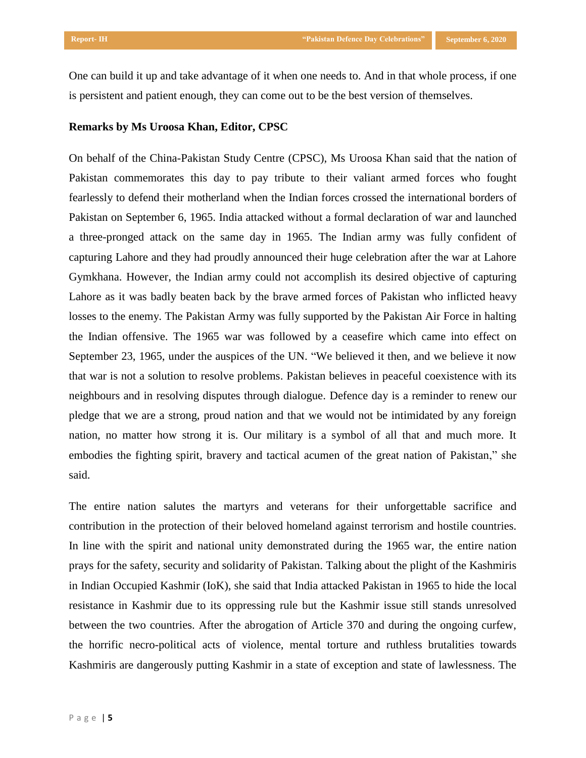One can build it up and take advantage of it when one needs to. And in that whole process, if one is persistent and patient enough, they can come out to be the best version of themselves.

#### **Remarks by Ms Uroosa Khan, Editor, CPSC**

On behalf of the China-Pakistan Study Centre (CPSC), Ms Uroosa Khan said that the nation of Pakistan commemorates this day to pay tribute to their valiant armed forces who fought fearlessly to defend their motherland when the Indian forces crossed the international borders of Pakistan on September 6, 1965. India attacked without a formal declaration of war and launched a three-pronged attack on the same day in 1965. The Indian army was fully confident of capturing Lahore and they had proudly announced their huge celebration after the war at Lahore Gymkhana. However, the Indian army could not accomplish its desired objective of capturing Lahore as it was badly beaten back by the brave armed forces of Pakistan who inflicted heavy losses to the enemy. The Pakistan Army was fully supported by the Pakistan Air Force in halting the Indian offensive. The 1965 war was followed by a ceasefire which came into effect on September 23, 1965, under the auspices of the UN. "We believed it then, and we believe it now that war is not a solution to resolve problems. Pakistan believes in peaceful coexistence with its neighbours and in resolving disputes through dialogue. Defence day is a reminder to renew our pledge that we are a strong, proud nation and that we would not be intimidated by any foreign nation, no matter how strong it is. Our military is a symbol of all that and much more. It embodies the fighting spirit, bravery and tactical acumen of the great nation of Pakistan," she said.

The entire nation salutes the martyrs and veterans for their unforgettable sacrifice and contribution in the protection of their beloved homeland against terrorism and hostile countries. In line with the spirit and national unity demonstrated during the 1965 war, the entire nation prays for the safety, security and solidarity of Pakistan. Talking about the plight of the Kashmiris in Indian Occupied Kashmir (IoK), she said that India attacked Pakistan in 1965 to hide the local resistance in Kashmir due to its oppressing rule but the Kashmir issue still stands unresolved between the two countries. After the abrogation of Article 370 and during the ongoing curfew, the horrific necro-political acts of violence, mental torture and ruthless brutalities towards Kashmiris are dangerously putting Kashmir in a state of exception and state of lawlessness. The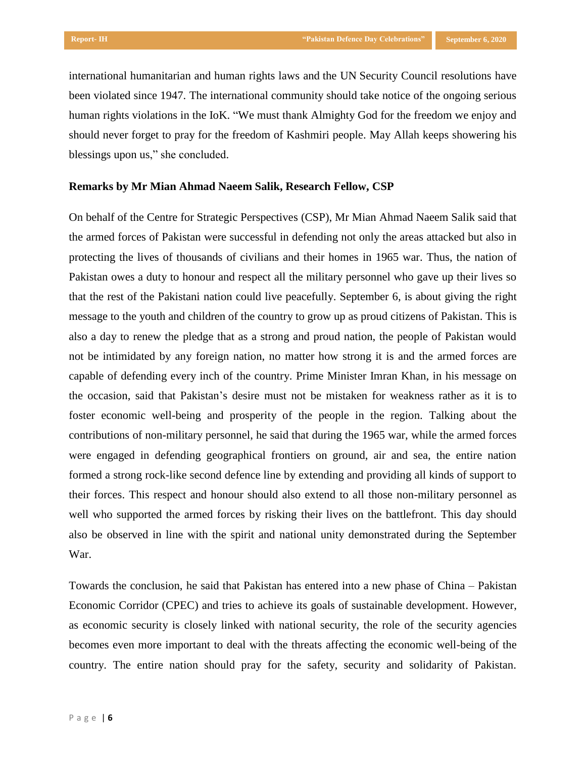international humanitarian and human rights laws and the [UN](https://www.urdupoint.com/en/latest-news/united-nations.html) Security Council resolutions have been violated since 1947. The international community should take notice of the ongoing serious human rights violations in the IoK. "We must thank Almighty God for the freedom we enjoy and should never forget to pray for the freedom of Kashmiri people. May Allah keeps showering his blessings upon us," she concluded.

## **Remarks by Mr Mian Ahmad Naeem Salik, Research Fellow, CSP**

On behalf of the Centre for Strategic Perspectives (CSP), Mr Mian Ahmad Naeem Salik said that the armed forces of Pakistan were successful in defending not only the areas attacked but also in protecting the lives of thousands of civilians and their homes in 1965 war. Thus, the nation of Pakistan owes a duty to honour and respect all the military personnel who gave up their lives so that the rest of the Pakistani nation could live peacefully. September 6, is about giving the right message to the youth and children of the country to grow up as proud citizens of Pakistan. This is also a day to renew the pledge that as a strong and proud nation, the people of Pakistan would not be intimidated by any foreign nation, no matter how strong it is and the armed forces are capable of defending every inch of the country. Prime Minister Imran Khan, in his message on the occasion, said that Pakistan's desire must not be mistaken for weakness rather as it is to foster economic well-being and prosperity of the people in the region. Talking about the contributions of non-military personnel, he said that during the 1965 war, while the armed forces were engaged in defending geographical frontiers on ground, air and sea, the entire nation formed a strong rock-like second defence line by extending and providing all kinds of support to their forces. This respect and honour should also extend to all those non-military personnel as well who supported the armed forces by risking their lives on the battlefront. This day should also be observed in line with the spirit and national unity demonstrated during the September War.

Towards the conclusion, he said that Pakistan has entered into a new phase of China – Pakistan Economic Corridor (CPEC) and tries to achieve its goals of sustainable development. However, as economic security is closely linked with national security, the role of the security agencies becomes even more important to deal with the threats affecting the economic well-being of the country. The entire nation should pray for the safety, security and solidarity of Pakistan.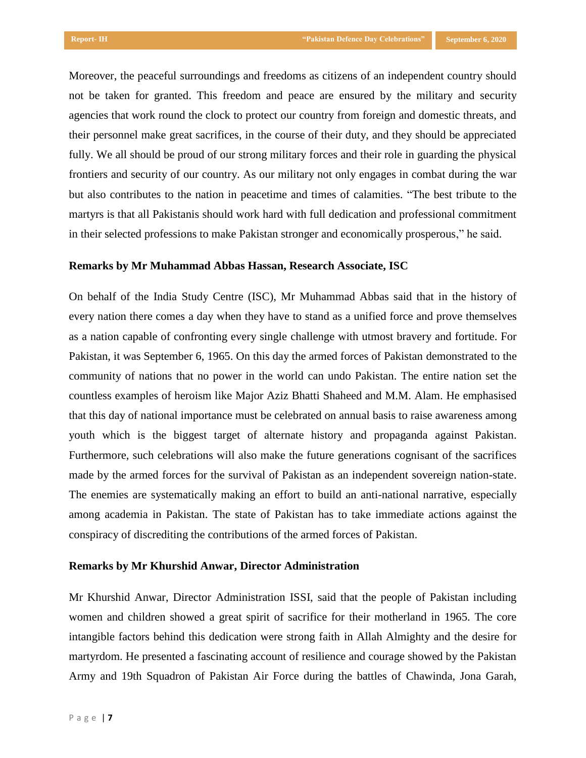Moreover, the peaceful surroundings and freedoms as citizens of an independent country should not be taken for granted. This freedom and peace are ensured by the military and security agencies that work round the clock to protect our country from foreign and domestic threats, and their personnel make great sacrifices, in the course of their duty, and they should be appreciated fully. We all should be proud of our strong military forces and their role in guarding the physical frontiers and security of our country. As our military not only engages in combat during the war but also contributes to the nation in peacetime and times of calamities. "The best tribute to the martyrs is that all Pakistanis should work hard with full dedication and professional commitment in their selected professions to make Pakistan stronger and economically prosperous," he said.

#### **Remarks by Mr Muhammad Abbas Hassan, Research Associate, ISC**

On behalf of the India Study Centre (ISC), Mr Muhammad Abbas said that in the history of every nation there comes a day when they have to stand as a unified force and prove themselves as a nation capable of confronting every single challenge with utmost bravery and fortitude. For Pakistan, it was September 6, 1965. On this day the armed forces of Pakistan demonstrated to the community of nations that no power in the world can undo Pakistan. The entire nation set the countless examples of heroism like Major Aziz Bhatti Shaheed and M.M. Alam. He emphasised that this day of national importance must be celebrated on annual basis to raise awareness among youth which is the biggest target of alternate history and propaganda against Pakistan. Furthermore, such celebrations will also make the future generations cognisant of the sacrifices made by the armed forces for the survival of Pakistan as an independent sovereign nation-state. The enemies are systematically making an effort to build an anti-national narrative, especially among academia in Pakistan. The state of Pakistan has to take immediate actions against the conspiracy of discrediting the contributions of the armed forces of Pakistan.

#### **Remarks by Mr Khurshid Anwar, Director Administration**

Mr Khurshid Anwar, Director Administration ISSI, said that the people of Pakistan including women and children showed a great spirit of sacrifice for their motherland in 1965. The core intangible factors behind this dedication were strong faith in Allah Almighty and the desire for martyrdom. He presented a fascinating account of resilience and courage showed by the Pakistan Army and 19th Squadron of Pakistan Air Force during the battles of Chawinda, Jona Garah,